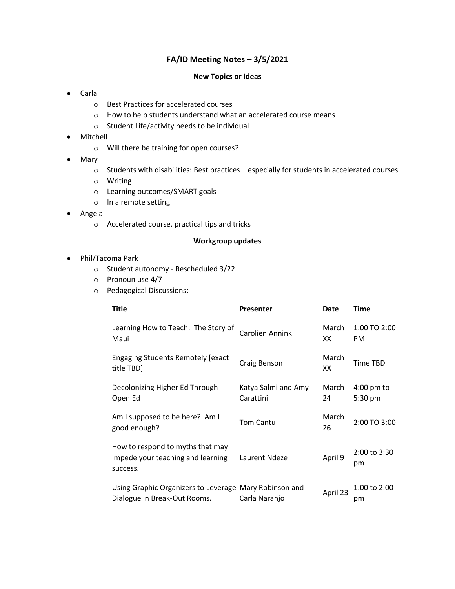## **FA/ID Meeting Notes – 3/5/2021**

## **New Topics or Ideas**

- Carla
	- o Best Practices for accelerated courses
	- o How to help students understand what an accelerated course means
	- o Student Life/activity needs to be individual
- Mitchell
	- o Will there be training for open courses?
- Mary
	- o Students with disabilities: Best practices especially for students in accelerated courses
	- o Writing
	- o Learning outcomes/SMART goals
	- o In a remote setting
- Angela
	- o Accelerated course, practical tips and tricks

## **Workgroup updates**

- Phil/Tacoma Park
	- o Student autonomy Rescheduled 3/22
	- o Pronoun use 4/7
	- o Pedagogical Discussions:

| <b>Title</b>                                                                           | <b>Presenter</b>                 | Date        | <b>Time</b>                     |
|----------------------------------------------------------------------------------------|----------------------------------|-------------|---------------------------------|
| Learning How to Teach: The Story of<br>Maui                                            | Carolien Annink                  | March<br>XX | 1:00 TO 2:00<br>PM              |
| <b>Engaging Students Remotely [exact</b> ]<br>title TBD]                               | Craig Benson                     | March<br>XХ | <b>Time TBD</b>                 |
| Decolonizing Higher Ed Through<br>Open Ed                                              | Katya Salmi and Amy<br>Carattini | March<br>24 | $4:00 \text{ pm}$ to<br>5:30 pm |
| Am I supposed to be here? Am I<br>good enough?                                         | <b>Tom Cantu</b>                 | March<br>26 | 2:00 TO 3:00                    |
| How to respond to myths that may<br>impede your teaching and learning<br>success.      | Laurent Ndeze                    | April 9     | 2:00 to 3:30<br>pm              |
| Using Graphic Organizers to Leverage Mary Robinson and<br>Dialogue in Break-Out Rooms. | Carla Naranjo                    | April 23    | 1:00 to 2:00<br>рm              |